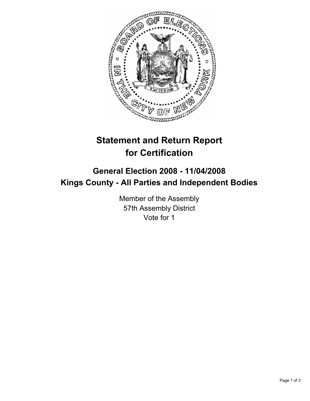

# **Statement and Return Report for Certification**

## **General Election 2008 - 11/04/2008 Kings County - All Parties and Independent Bodies**

Member of the Assembly 57th Assembly District Vote for 1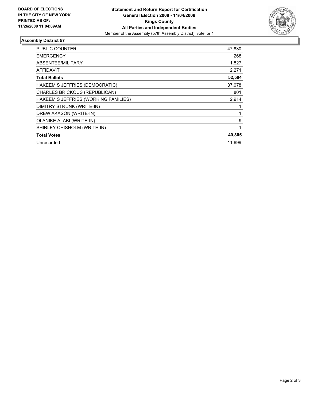

### **Assembly District 57**

| <b>PUBLIC COUNTER</b>                | 47,830 |
|--------------------------------------|--------|
| <b>EMERGENCY</b>                     | 268    |
| ABSENTEE/MILITARY                    | 1,827  |
| <b>AFFIDAVIT</b>                     | 2,271  |
| <b>Total Ballots</b>                 | 52,504 |
| HAKEEM S JEFFRIES (DEMOCRATIC)       | 37,078 |
| CHARLES BRICKOUS (REPUBLICAN)        | 801    |
| HAKEEM S JEFFRIES (WORKING FAMILIES) | 2,914  |
| DIMITRY STRUNK (WRITE-IN)            |        |
| DREW AKASON (WRITE-IN)               |        |
| <b>OLANIKE ALABI (WRITE-IN)</b>      | 9      |
| SHIRLEY CHISHOLM (WRITE-IN)          |        |
| <b>Total Votes</b>                   | 40,805 |
| Unrecorded                           | 11,699 |